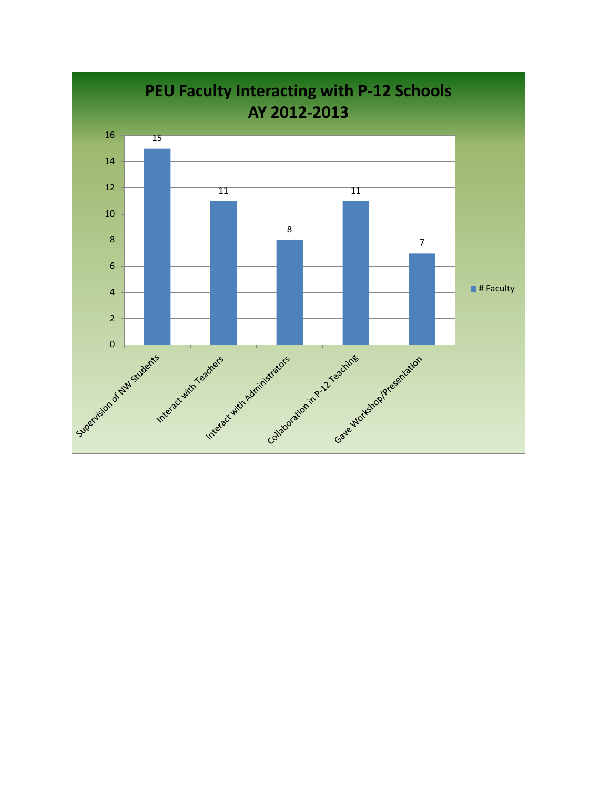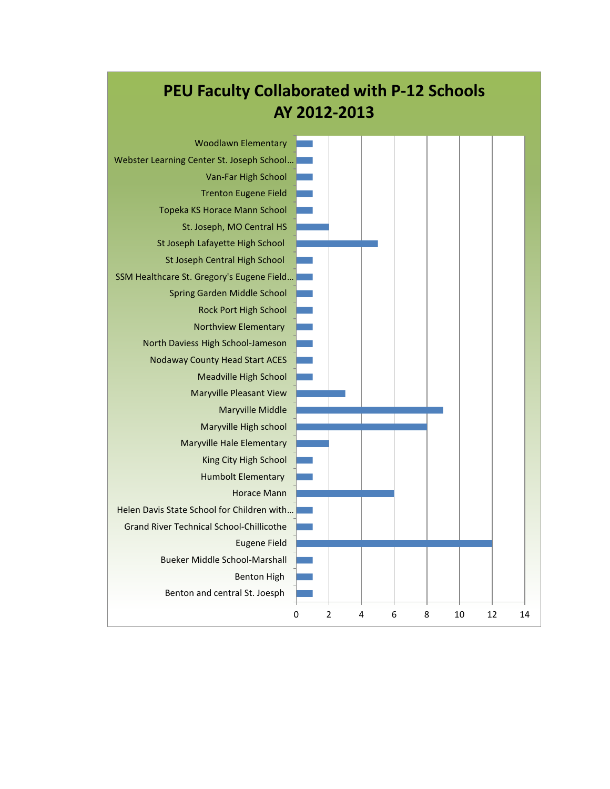